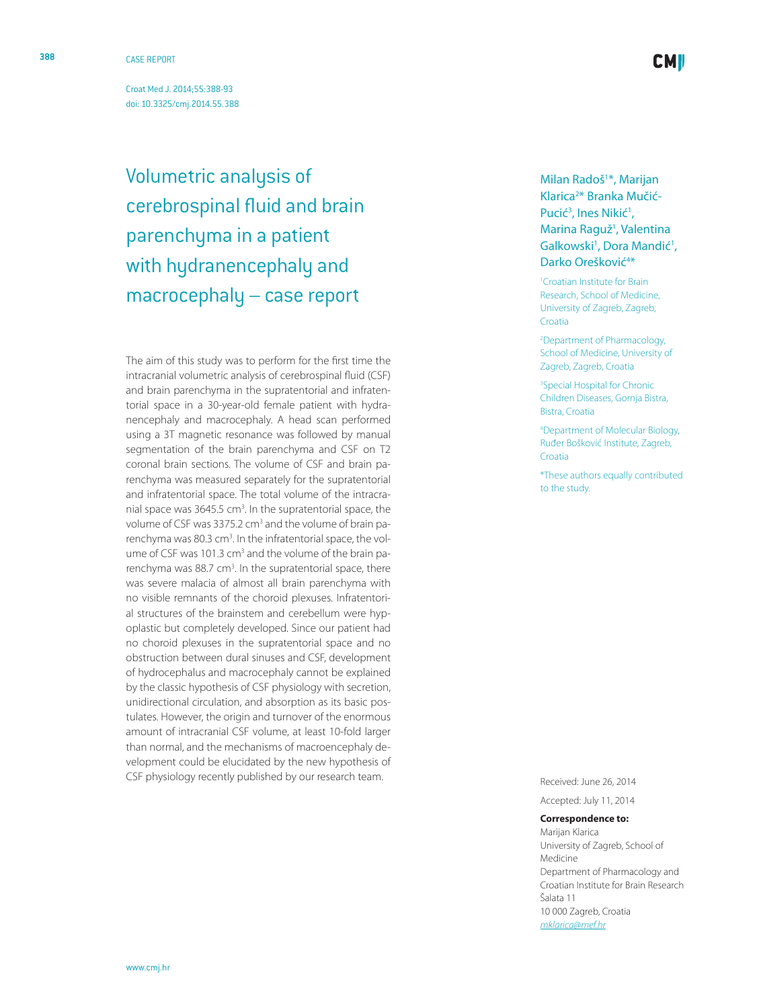Croat Med J. 2014;55:388-93 [doi: 10.3325/cmj.2014.55.38](http://dx.doi.org/10.3325/cmj.2014.55.388) 8

Volumetric analysis of cerebrospinal fluid and brain parenchyma in a patient with hydranencephaly and macrocephaly – case report

The aim of this study was to perform for the first time the intracranial volumetric analysis of cerebrospinal fluid (CSF) and brain parenchyma in the supratentorial and infraten torial space in a 30-year-old female patient with hydra nencephaly and macrocephaly. A head scan performed using a 3T magnetic resonance was followed by manual segmentation of the brain parenchyma and CSF on T2 coronal brain sections. The volume of CSF and brain pa renchyma was measured separately for the supratentorial and infratentorial space. The total volume of the intracra nial space was 3645.5 cm<sup>3</sup>. In the supratentorial space, the volume of CSF was 3375.2 cm<sup>3</sup> and the volume of brain parenchyma was 80.3 cm<sup>3</sup>. In the infratentorial space, the volume of CSF was 101.3 cm<sup>3</sup> and the volume of the brain parenchyma was 88.7 cm<sup>3</sup>. In the supratentorial space, there was severe malacia of almost all brain parenchyma with no visible remnants of the choroid plexuses. Infratentori al structures of the brainstem and cerebellum were hyp oplastic but completely developed. Since our patient had no choroid plexuses in the supratentorial space and no obstruction between dural sinuses and CSF, development of hydrocephalus and macrocephaly cannot be explained by the classic hypothesis of CSF physiology with secretion, unidirectional circulation, and absorption as its basic pos tulates. However, the origin and turnover of the enormous amount of intracranial CSF volume, at least 10-fold larger than normal, and the mechanisms of macroencephaly de velopment could be elucidated by the new hypothesis of CSF physiology recently published by our research team.

# Milan Radoš<sup>1\*</sup>, Marijan Klarica<sup>2\*</sup> Branka Mučić-Pucić<sup>3</sup>, Ines Nikić<sup>1</sup>, Marina Raguž 1 , Valentina Galkowski<sup>1</sup>, Dora Mandić<sup>1</sup>, Darko Orešković<sup>4\*</sup>

1 Croatian Institute for Brain Research, School of Medicine, University of Zagreb, Zagreb, Croatia

2 Department of Pharmacology, School of Medicine, University of Zagreb, Zagreb, Croatia

3 Special Hospital for Chronic Children Diseases, Gornja Bistra, Bistra, Croatia

4 Department of Molecular Biology, Ruđer Bošković Institute, Zagreb, Croatia

\*These authors equally contributed to the study.

Received: June 26, 2014 Accepted: July 11, 2014

### **Correspondence to:**

Marijan Klarica University of Zagreb, School of Medicine Department of Pharmacology and Croatian Institute for Brain Research Šalata 11 10 000 Zagreb, Croatia *[mklarica@mef.h](mailto: mklarica@mef.hr) r*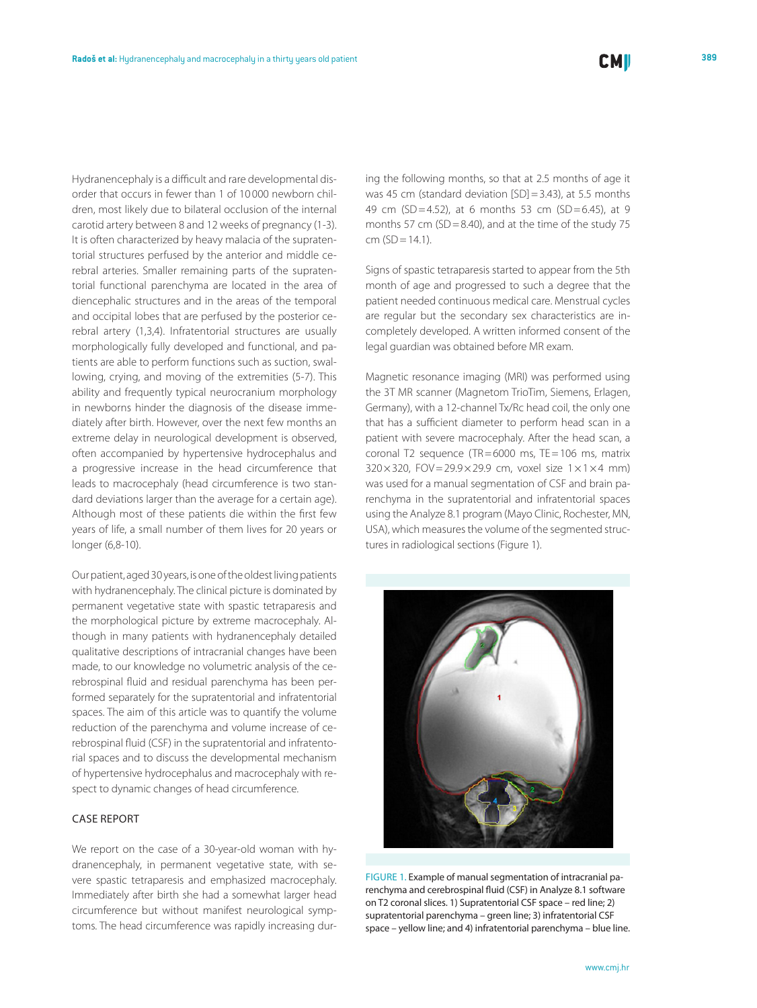Hydranencephaly is a difficult and rare developmental disorder that occurs in fewer than 1 of 10 000 newborn children, most likely due to bilateral occlusion of the internal carotid artery between 8 and 12 weeks of pregnancy (1-3). It is often characterized by heavy malacia of the supratentorial structures perfused by the anterior and middle cerebral arteries. Smaller remaining parts of the supratentorial functional parenchyma are located in the area of diencephalic structures and in the areas of the temporal and occipital lobes that are perfused by the posterior cerebral artery (1,3,4). Infratentorial structures are usually morphologically fully developed and functional, and patients are able to perform functions such as suction, swallowing, crying, and moving of the extremities (5-7). This ability and frequently typical neurocranium morphology in newborns hinder the diagnosis of the disease immediately after birth. However, over the next few months an extreme delay in neurological development is observed, often accompanied by hypertensive hydrocephalus and a progressive increase in the head circumference that leads to macrocephaly (head circumference is two standard deviations larger than the average for a certain age). Although most of these patients die within the first few years of life, a small number of them lives for 20 years or longer (6,8-10).

Our patient, aged 30 years, is one of the oldest living patients with hydranencephaly. The clinical picture is dominated by permanent vegetative state with spastic tetraparesis and the morphological picture by extreme macrocephaly. Although in many patients with hydranencephaly detailed qualitative descriptions of intracranial changes have been made, to our knowledge no volumetric analysis of the cerebrospinal fluid and residual parenchyma has been performed separately for the supratentorial and infratentorial spaces. The aim of this article was to quantify the volume reduction of the parenchyma and volume increase of cerebrospinal fluid (CSF) in the supratentorial and infratentorial spaces and to discuss the developmental mechanism of hypertensive hydrocephalus and macrocephaly with respect to dynamic changes of head circumference.

## Case report

We report on the case of a 30-year-old woman with hydranencephaly, in permanent vegetative state, with severe spastic tetraparesis and emphasized macrocephaly. Immediately after birth she had a somewhat larger head circumference but without manifest neurological symptoms. The head circumference was rapidly increasing during the following months, so that at 2.5 months of age it was 45 cm (standard deviation [SD] = 3.43), at 5.5 months 49 cm (SD=4.52), at 6 months 53 cm (SD=6.45), at 9 months 57 cm (SD=8.40), and at the time of the study 75  $cm (SD = 14.1).$ 

Signs of spastic tetraparesis started to appear from the 5th month of age and progressed to such a degree that the patient needed continuous medical care. Menstrual cycles are regular but the secondary sex characteristics are incompletely developed. A written informed consent of the legal guardian was obtained before MR exam.

Magnetic resonance imaging (MRI) was performed using the 3T MR scanner (Magnetom TrioTim, Siemens, Erlagen, Germany), with a 12-channel Tx/Rc head coil, the only one that has a sufficient diameter to perform head scan in a patient with severe macrocephaly. After the head scan, a coronal T2 sequence (TR=6000 ms, TE=106 ms, matrix  $320 \times 320$ , FOV=29.9×29.9 cm, voxel size 1×1×4 mm) was used for a manual segmentation of CSF and brain parenchyma in the supratentorial and infratentorial spaces using the Analyze 8.1 program (Mayo Clinic, Rochester, MN, USA), which measures the volume of the segmented structures in radiological sections (Figure 1).



FIGURE 1. Example of manual segmentation of intracranial parenchyma and cerebrospinal fluid (CSF) in Analyze 8.1 software on T2 coronal slices. 1) Supratentorial CSF space – red line; 2) supratentorial parenchyma – green line; 3) infratentorial CSF space – yellow line; and 4) infratentorial parenchyma – blue line.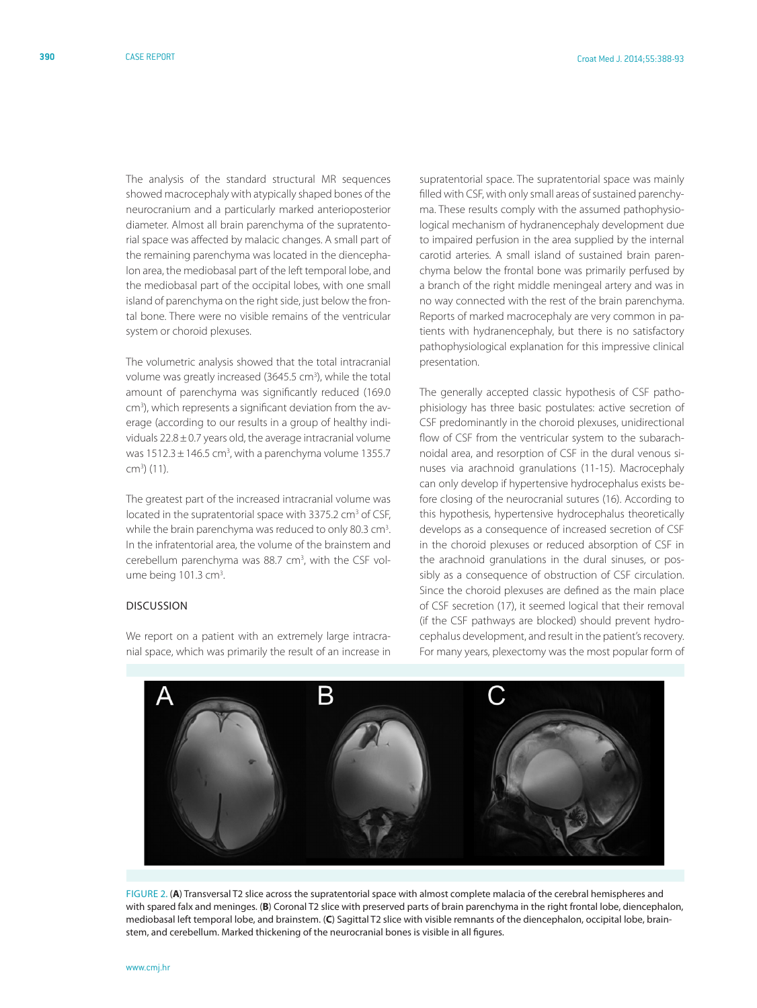The analysis of the standard structural MR sequences showed macrocephaly with atypically shaped bones of the neurocranium and a particularly marked anterioposterior diameter. Almost all brain parenchyma of the supratentorial space was affected by malacic changes. A small part of the remaining parenchyma was located in the diencephalon area, the mediobasal part of the left temporal lobe, and the mediobasal part of the occipital lobes, with one small island of parenchyma on the right side, just below the frontal bone. There were no visible remains of the ventricular system or choroid plexuses.

The volumetric analysis showed that the total intracranial volume was greatly increased (3645.5 cm<sup>3</sup>), while the total amount of parenchyma was significantly reduced (169.0 cm<sup>3</sup>), which represents a significant deviation from the average (according to our results in a group of healthy individuals  $22.8 \pm 0.7$  years old, the average intracranial volume was  $1512.3 \pm 146.5$  cm<sup>3</sup>, with a parenchyma volume 1355.7 cm3 ) (11).

The greatest part of the increased intracranial volume was located in the supratentorial space with 3375.2 cm<sup>3</sup> of CSF, while the brain parenchyma was reduced to only 80.3 cm<sup>3</sup>. In the infratentorial area, the volume of the brainstem and cerebellum parenchyma was 88.7 cm<sup>3</sup>, with the CSF volume being 101.3 cm<sup>3</sup>. .

### Discussion

We report on a patient with an extremely large intracranial space, which was primarily the result of an increase in

supratentorial space. The supratentorial space was mainly filled with CSF, with only small areas of sustained parenchyma. These results comply with the assumed pathophysiological mechanism of hydranencephaly development due to impaired perfusion in the area supplied by the internal carotid arteries. A small island of sustained brain parenchyma below the frontal bone was primarily perfused by a branch of the right middle meningeal artery and was in no way connected with the rest of the brain parenchyma. Reports of marked macrocephaly are very common in patients with hydranencephaly, but there is no satisfactory pathophysiological explanation for this impressive clinical presentation.

The generally accepted classic hypothesis of CSF pathophisiology has three basic postulates: active secretion of CSF predominantly in the choroid plexuses, unidirectional flow of CSF from the ventricular system to the subarachnoidal area, and resorption of CSF in the dural venous sinuses via arachnoid granulations (11-15). Macrocephaly can only develop if hypertensive hydrocephalus exists before closing of the neurocranial sutures (16). According to this hypothesis, hypertensive hydrocephalus theoretically develops as a consequence of increased secretion of CSF in the choroid plexuses or reduced absorption of CSF in the arachnoid granulations in the dural sinuses, or possibly as a consequence of obstruction of CSF circulation. Since the choroid plexuses are defined as the main place of CSF secretion (17), it seemed logical that their removal (if the CSF pathways are blocked) should prevent hydrocephalus development, and result in the patient's recovery. For many years, plexectomy was the most popular form of



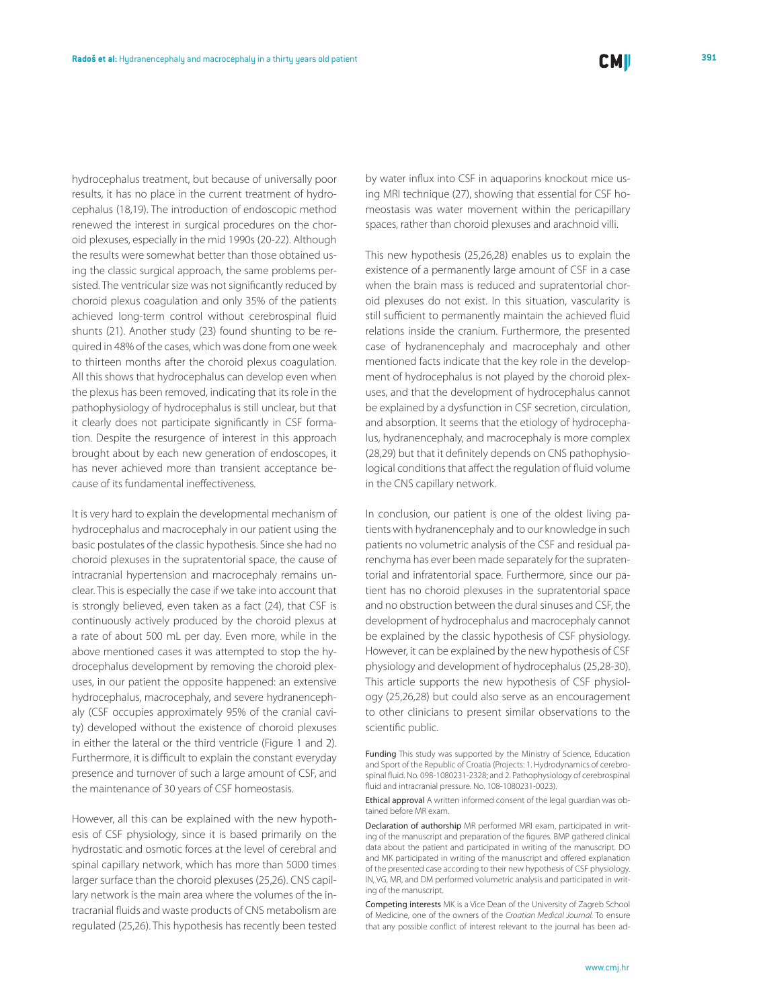hydrocephalus treatment, but because of universally poor results, it has no place in the current treatment of hydrocephalus (18,19). The introduction of endoscopic method renewed the interest in surgical procedures on the choroid plexuses, especially in the mid 1990s (20-22). Although the results were somewhat better than those obtained using the classic surgical approach, the same problems persisted. The ventricular size was not significantly reduced by choroid plexus coagulation and only 35% of the patients achieved long-term control without cerebrospinal fluid shunts (21). Another study (23) found shunting to be required in 48% of the cases, which was done from one week to thirteen months after the choroid plexus coagulation. All this shows that hydrocephalus can develop even when the plexus has been removed, indicating that its role in the pathophysiology of hydrocephalus is still unclear, but that it clearly does not participate significantly in CSF formation. Despite the resurgence of interest in this approach brought about by each new generation of endoscopes, it has never achieved more than transient acceptance because of its fundamental ineffectiveness.

It is very hard to explain the developmental mechanism of hydrocephalus and macrocephaly in our patient using the basic postulates of the classic hypothesis. Since she had no choroid plexuses in the supratentorial space, the cause of intracranial hypertension and macrocephaly remains unclear. This is especially the case if we take into account that is strongly believed, even taken as a fact (24), that CSF is continuously actively produced by the choroid plexus at a rate of about 500 mL per day. Even more, while in the above mentioned cases it was attempted to stop the hydrocephalus development by removing the choroid plexuses, in our patient the opposite happened: an extensive hydrocephalus, macrocephaly, and severe hydranencephaly (CSF occupies approximately 95% of the cranial cavity) developed without the existence of choroid plexuses in either the lateral or the third ventricle (Figure 1 and 2). Furthermore, it is difficult to explain the constant everyday presence and turnover of such a large amount of CSF, and the maintenance of 30 years of CSF homeostasis.

However, all this can be explained with the new hypothesis of CSF physiology, since it is based primarily on the hydrostatic and osmotic forces at the level of cerebral and spinal capillary network, which has more than 5000 times larger surface than the choroid plexuses (25,26). CNS capillary network is the main area where the volumes of the intracranial fluids and waste products of CNS metabolism are regulated (25,26). This hypothesis has recently been tested by water influx into CSF in aquaporins knockout mice using MRI technique (27), showing that essential for CSF homeostasis was water movement within the pericapillary spaces, rather than choroid plexuses and arachnoid villi.

This new hypothesis (25,26,28) enables us to explain the existence of a permanently large amount of CSF in a case when the brain mass is reduced and supratentorial choroid plexuses do not exist. In this situation, vascularity is still sufficient to permanently maintain the achieved fluid relations inside the cranium. Furthermore, the presented case of hydranencephaly and macrocephaly and other mentioned facts indicate that the key role in the development of hydrocephalus is not played by the choroid plexuses, and that the development of hydrocephalus cannot be explained by a dysfunction in CSF secretion, circulation, and absorption. It seems that the etiology of hydrocephalus, hydranencephaly, and macrocephaly is more complex (28,29) but that it definitely depends on CNS pathophysiological conditions that affect the regulation of fluid volume in the CNS capillary network.

In conclusion, our patient is one of the oldest living patients with hydranencephaly and to our knowledge in such patients no volumetric analysis of the CSF and residual parenchyma has ever been made separately for the supratentorial and infratentorial space. Furthermore, since our patient has no choroid plexuses in the supratentorial space and no obstruction between the dural sinuses and CSF, the development of hydrocephalus and macrocephaly cannot be explained by the classic hypothesis of CSF physiology. However, it can be explained by the new hypothesis of CSF physiology and development of hydrocephalus (25,28-30). This article supports the new hypothesis of CSF physiology (25,26,28) but could also serve as an encouragement to other clinicians to present similar observations to the scientific public.

Funding This study was supported by the Ministry of Science, Education and Sport of the Republic of Croatia (Projects: 1. Hydrodynamics of cerebrospinal fluid. No. 098-1080231-2328; and 2. Pathophysiology of cerebrospinal fluid and intracranial pressure. No. 108-1080231-0023).

Ethical approval A written informed consent of the legal guardian was obtained before MR exam.

Declaration of authorship MR performed MRI exam, participated in writing of the manuscript and preparation of the figures. BMP gathered clinical data about the patient and participated in writing of the manuscript. DO and MK participated in writing of the manuscript and offered explanation of the presented case according to their new hypothesis of CSF physiology. IN, VG, MR, and DM performed volumetric analysis and participated in writing of the manuscript.

Competing interests MK is a Vice Dean of the University of Zagreb School of Medicine, one of the owners of the *Croatian Medical Journal.* To ensure that any possible conflict of interest relevant to the journal has been ad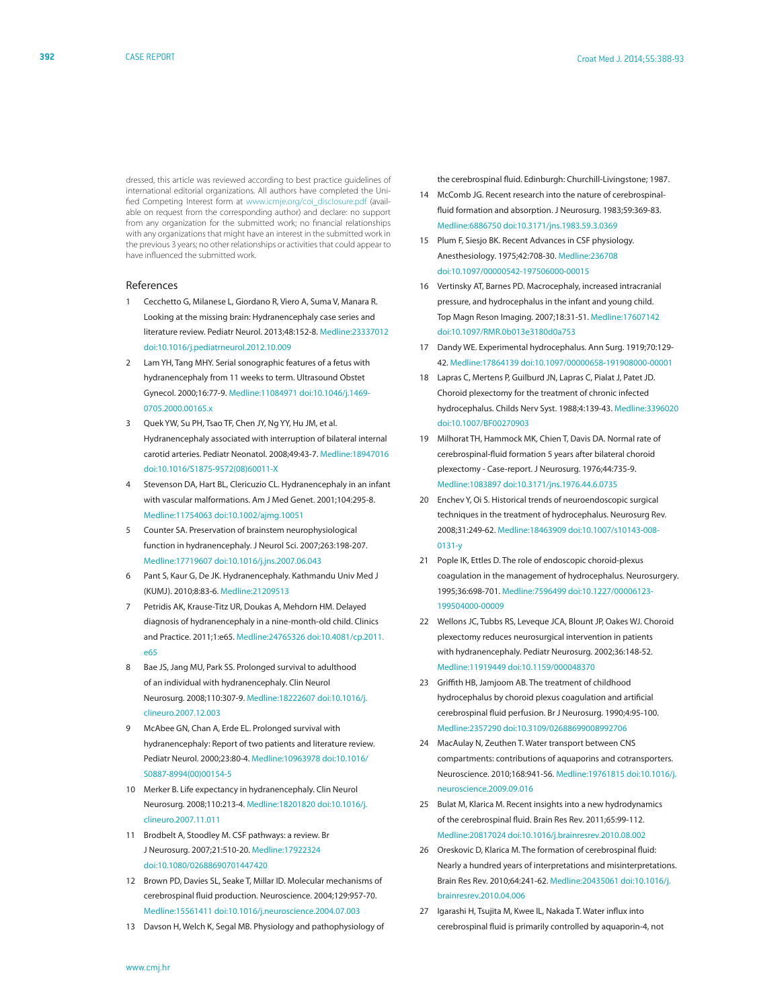dressed, this article was reviewed according to best practice guidelines of international editorial organizations. All authors have completed the Unified Competing Interest form at [www.icmje.org/coi\\_disclosure.pdf](www.icmje.org/coi_disclosure.pdf) (available on request from the corresponding author) and declare: no support from any organization for the submitted work; no financial relationships with any organizations that might have an interest in the submitted work in the previous 3 years; no other relationships or activities that could appear to have influenced the submitted work.

#### References

- 1 Cecchetto G, Milanese L, Giordano R, Viero A, Suma V, Manara R. Looking at the missing brain: Hydranencephaly case series and literature review. Pediatr Neurol. 2013;48:152-8[. Medline:23337012](http://www.ncbi.nlm.nih.gov/entrez/query.fcgi?cmd=Retrieve&db=PubMed&list_uids=23337012&dopt=Abstract) [doi:10.1016/j.pediatrneurol.2012.10.009](http://dx.doi.org/10.1016/j.pediatrneurol.2012.10.009)
- 2 Lam YH, Tang MHY. Serial sonographic features of a fetus with hydranencephaly from 11 weeks to term. Ultrasound Obstet Gynecol. 2000;16:77-9. [Medline:11084971](http://www.ncbi.nlm.nih.gov/entrez/query.fcgi?cmd=Retrieve&db=PubMed&list_uids=11084971&dopt=Abstract) [doi:10.1046/j.1469-](http://dx.doi.org/10.1046/j.1469-0705.2000.00165.x) [0705.2000.00165.x](http://dx.doi.org/10.1046/j.1469-0705.2000.00165.x)
- 3 Quek YW, Su PH, Tsao TF, Chen JY, Ng YY, Hu JM, et al. Hydranencephaly associated with interruption of bilateral internal carotid arteries. Pediatr Neonatol. 2008;49:43-7. [Medline:18947016](http://www.ncbi.nlm.nih.gov/entrez/query.fcgi?cmd=Retrieve&db=PubMed&list_uids=18947016&dopt=Abstract) [doi:10.1016/S1875-9572\(08\)60011-X](http://dx.doi.org/10.1016/S1875-9572(08)60011-X)
- 4 Stevenson DA, Hart BL, Clericuzio CL. Hydranencephaly in an infant with vascular malformations. Am J Med Genet. 2001;104:295-8[.](http://www.ncbi.nlm.nih.gov/entrez/query.fcgi?cmd=Retrieve&db=PubMed&list_uids=11754063&dopt=Abstract) [Medline:11754063](http://www.ncbi.nlm.nih.gov/entrez/query.fcgi?cmd=Retrieve&db=PubMed&list_uids=11754063&dopt=Abstract) [doi:10.1002/ajmg.10051](http://dx.doi.org/10.1002/ajmg.10051)
- 5 Counter SA. Preservation of brainstem neurophysiological function in hydranencephaly. J Neurol Sci. 2007;263:198-207[.](http://www.ncbi.nlm.nih.gov/entrez/query.fcgi?cmd=Retrieve&db=PubMed&list_uids=17719607&dopt=Abstract) [Medline:17719607](http://www.ncbi.nlm.nih.gov/entrez/query.fcgi?cmd=Retrieve&db=PubMed&list_uids=17719607&dopt=Abstract) [doi:10.1016/j.jns.2007.06.043](http://dx.doi.org/10.1016/j.jns.2007.06.043)
- 6 Pant S, Kaur G, De JK. Hydranencephaly. Kathmandu Univ Med J (KUMJ). 2010;8:83-6[. Medline:21209513](http://www.ncbi.nlm.nih.gov/entrez/query.fcgi?cmd=Retrieve&db=PubMed&list_uids=21209513&dopt=Abstract)
- 7 Petridis AK, Krause-Titz UR, Doukas A, Mehdorn HM. Delayed diagnosis of hydranencephaly in a nine-month-old child. Clinics and Practice. 2011;1:e65. [Medline:24765326](http://www.ncbi.nlm.nih.gov/entrez/query.fcgi?cmd=Retrieve&db=PubMed&list_uids=24765326&dopt=Abstract) [doi:10.4081/cp.2011.](http://dx.doi.org/10.4081/cp.2011.e65) [e65](http://dx.doi.org/10.4081/cp.2011.e65)
- 8 Bae JS, Jang MU, Park SS. Prolonged survival to adulthood of an individual with hydranencephaly. Clin Neurol Neurosurg. 2008;110:307-9. [Medline:18222607](http://www.ncbi.nlm.nih.gov/entrez/query.fcgi?cmd=Retrieve&db=PubMed&list_uids=18222607&dopt=Abstract) [doi:10.1016/j.](http://dx.doi.org/10.1016/j.clineuro.2007.12.003) [clineuro.2007.12.003](http://dx.doi.org/10.1016/j.clineuro.2007.12.003)
- 9 McAbee GN, Chan A, Erde EL. Prolonged survival with hydranencephaly: Report of two patients and literature review. Pediatr Neurol. 2000;23:80-4. [Medline:10963978](http://www.ncbi.nlm.nih.gov/entrez/query.fcgi?cmd=Retrieve&db=PubMed&list_uids=10963978&dopt=Abstract) [doi:10.1016/](http://dx.doi.org/10.1016/S0887-8994(00)00154-5) [S0887-8994\(00\)00154-5](http://dx.doi.org/10.1016/S0887-8994(00)00154-5)
- 10 Merker B. Life expectancy in hydranencephaly. Clin Neurol Neurosurg. 2008;110:213-4. [Medline:18201820](http://www.ncbi.nlm.nih.gov/entrez/query.fcgi?cmd=Retrieve&db=PubMed&list_uids=18201820&dopt=Abstract) [doi:10.1016/j.](http://dx.doi.org/10.1016/j.clineuro.2007.11.011) [clineuro.2007.11.011](http://dx.doi.org/10.1016/j.clineuro.2007.11.011)
- 11 Brodbelt A, Stoodley M. CSF pathways: a review. Br J Neurosurg. 2007;21:510-20. [Medline:17922324](http://www.ncbi.nlm.nih.gov/entrez/query.fcgi?cmd=Retrieve&db=PubMed&list_uids=17922324&dopt=Abstract) [doi:10.1080/02688690701447420](http://dx.doi.org/10.1080/02688690701447420)
- 12 Brown PD, Davies SL, Seake T, Millar ID. Molecular mechanisms of cerebrospinal fluid production. Neuroscience. 2004;129:957-70. [Medline:15561411](http://www.ncbi.nlm.nih.gov/entrez/query.fcgi?cmd=Retrieve&db=PubMed&list_uids=15561411&dopt=Abstract) [doi:10.1016/j.neuroscience.2004.07.003](http://dx.doi.org/10.1016/j.neuroscience.2004.07.003)
- 13 Davson H, Welch K, Segal MB. Physiology and pathophysiology of

the cerebrospinal fluid. Edinburgh: Churchill-Livingstone; 1987.

- 14 McComb JG. Recent research into the nature of cerebrospinalfluid formation and absorption. J Neurosurg. 1983;59:369-83. [Medline:6886750](http://www.ncbi.nlm.nih.gov/entrez/query.fcgi?cmd=Retrieve&db=PubMed&list_uids=6886750&dopt=Abstract) [doi:10.3171/jns.1983.59.3.0369](http://dx.doi.org/10.3171/jns.1983.59.3.0369)
- 15 Plum F, Siesjo BK. Recent Advances in CSF physiology. Anesthesiology. 1975;42:708-30. [Medline:236708](http://www.ncbi.nlm.nih.gov/entrez/query.fcgi?cmd=Retrieve&db=PubMed&list_uids=236708&dopt=Abstract) [doi:10.1097/00000542-197506000-00015](http://dx.doi.org/10.1097/00000542-197506000-00015)
- 16 Vertinsky AT, Barnes PD. Macrocephaly, increased intracranial pressure, and hydrocephalus in the infant and young child. Top Magn Reson Imaging. 2007;18:31-51. [Medline:17607142](http://www.ncbi.nlm.nih.gov/entrez/query.fcgi?cmd=Retrieve&db=PubMed&list_uids=17607142&dopt=Abstract) [doi:10.1097/RMR.0b013e3180d0a753](http://dx.doi.org/10.1097/RMR.0b013e3180d0a753)
- 17 Dandy WE. Experimental hydrocephalus. Ann Surg. 1919;70:129- 42. [Medline:17864139](http://www.ncbi.nlm.nih.gov/entrez/query.fcgi?cmd=Retrieve&db=PubMed&list_uids=17864139&dopt=Abstract) [doi:10.1097/00000658-191908000-00001](http://dx.doi.org/10.1097/00000658-191908000-00001)
- 18 Lapras C, Mertens P, Guilburd JN, Lapras C, Pialat J, Patet JD. Choroid plexectomy for the treatment of chronic infected hydrocephalus. Childs Nerv Syst. 1988;4:139-43[. Medline:3396020](http://www.ncbi.nlm.nih.gov/entrez/query.fcgi?cmd=Retrieve&db=PubMed&list_uids=3396020&dopt=Abstract) [doi:10.1007/BF00270903](http://dx.doi.org/10.1007/BF00270903)
- 19 Milhorat TH, Hammock MK, Chien T, Davis DA. Normal rate of cerebrospinal-fluid formation 5 years after bilateral choroid plexectomy - Case-report. J Neurosurg. 1976;44:735-9. [Medline:1083897](http://www.ncbi.nlm.nih.gov/entrez/query.fcgi?cmd=Retrieve&db=PubMed&list_uids=1083897&dopt=Abstract) [doi:10.3171/jns.1976.44.6.0735](http://dx.doi.org/10.3171/jns.1976.44.6.0735)
- 20 Enchev Y, Oi S. Historical trends of neuroendoscopic surgical techniques in the treatment of hydrocephalus. Neurosurg Rev. 2008;31:249-62[. Medline:18463909](http://www.ncbi.nlm.nih.gov/entrez/query.fcgi?cmd=Retrieve&db=PubMed&list_uids=18463909&dopt=Abstract) [doi:10.1007/s10143-008-](http://dx.doi.org/10.1007/s10143-008-0131-y) [0131-y](http://dx.doi.org/10.1007/s10143-008-0131-y)
- 21 Pople IK, Ettles D. The role of endoscopic choroid-plexus coagulation in the management of hydrocephalus. Neurosurgery. 1995;36:698-701. [Medline:7596499](http://www.ncbi.nlm.nih.gov/entrez/query.fcgi?cmd=Retrieve&db=PubMed&list_uids=7596499&dopt=Abstract) [doi:10.1227/00006123-](http://dx.doi.org/10.1227/00006123-199504000-00009) [199504000-00009](http://dx.doi.org/10.1227/00006123-199504000-00009)
- 22 Wellons JC, Tubbs RS, Leveque JCA, Blount JP, Oakes WJ. Choroid plexectomy reduces neurosurgical intervention in patients with hydranencephaly. Pediatr Neurosurg. 2002;36:148-52. [Medline:11919449](http://www.ncbi.nlm.nih.gov/entrez/query.fcgi?cmd=Retrieve&db=PubMed&list_uids=11919449&dopt=Abstract) [doi:10.1159/000048370](http://dx.doi.org/10.1159/000048370)
- 23 Griffith HB, Jamjoom AB. The treatment of childhood hydrocephalus by choroid plexus coagulation and artificial cerebrospinal fluid perfusion. Br J Neurosurg. 1990;4:95-100. [Medline:2357290](http://www.ncbi.nlm.nih.gov/entrez/query.fcgi?cmd=Retrieve&db=PubMed&list_uids=2357290&dopt=Abstract) [doi:10.3109/02688699008992706](http://dx.doi.org/10.3109/02688699008992706)
- 24 MacAulay N, Zeuthen T. Water transport between CNS compartments: contributions of aquaporins and cotransporters. Neuroscience. 2010;168:941-56[. Medline:19761815](http://www.ncbi.nlm.nih.gov/entrez/query.fcgi?cmd=Retrieve&db=PubMed&list_uids=19761815&dopt=Abstract) [doi:10.1016/j.](http://dx.doi.org/10.1016/j.neuroscience.2009.09.016) [neuroscience.2009.09.016](http://dx.doi.org/10.1016/j.neuroscience.2009.09.016)
- 25 Bulat M, Klarica M. Recent insights into a new hydrodynamics of the cerebrospinal fluid. Brain Res Rev. 2011;65:99-112[.](http://www.ncbi.nlm.nih.gov/entrez/query.fcgi?cmd=Retrieve&db=PubMed&list_uids=20817024&dopt=Abstract) [Medline:20817024](http://www.ncbi.nlm.nih.gov/entrez/query.fcgi?cmd=Retrieve&db=PubMed&list_uids=20817024&dopt=Abstract) [doi:10.1016/j.brainresrev.2010.08.002](http://dx.doi.org/10.1016/j.brainresrev.2010.08.002)
- 26 Oreskovic D, Klarica M. The formation of cerebrospinal fluid: Nearly a hundred years of interpretations and misinterpretations. Brain Res Rev. 2010;64:241-62. [Medline:20435061](http://www.ncbi.nlm.nih.gov/entrez/query.fcgi?cmd=Retrieve&db=PubMed&list_uids=20435061&dopt=Abstract) [doi:10.1016/j.](http://dx.doi.org/10.1016/j.brainresrev.2010.04.006) [brainresrev.2010.04.006](http://dx.doi.org/10.1016/j.brainresrev.2010.04.006)
- 27 Igarashi H, Tsujita M, Kwee IL, Nakada T. Water influx into cerebrospinal fluid is primarily controlled by aquaporin-4, not